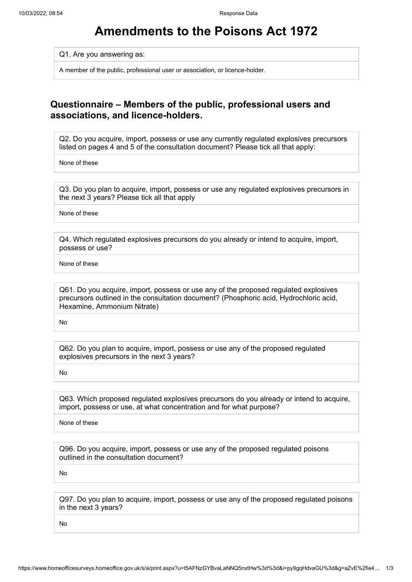## **Amendments to the Poisons Act 1972**

Q1. Are you answering as:

A member of the public, professional user or association, or licence-holder.

## **Questionnaire – Members of the public, professional users and associations, and licence-holders.**

Q2. Do you acquire, import, possess or use any currently regulated explosives precursors listed on pages 4 and 5 of the consultation document? Please tick all that apply:

None of these

Q3. Do you plan to acquire, import, possess or use any regulated explosives precursors in the next 3 years? Please tick all that apply

None of these

Q4. Which regulated explosives precursors do you already or intend to acquire, import, possess or use?

None of these

Q61. Do you acquire, import, possess or use any of the proposed regulated explosives precursors outlined in the consultation document? (Phosphoric acid, Hydrochloric acid, Hexamine, Ammonium Nitrate)

No

Q62. Do you plan to acquire, import, possess or use any of the proposed regulated explosives precursors in the next 3 years?

No

Q63. Which proposed regulated explosives precursors do you already or intend to acquire, import, possess or use, at what concentration and for what purpose?

None of these

Q96. Do you acquire, import, possess or use any of the proposed regulated poisons outlined in the consultation document?

No

Q97. Do you plan to acquire, import, possess or use any of the proposed regulated poisons in the next 3 years?

No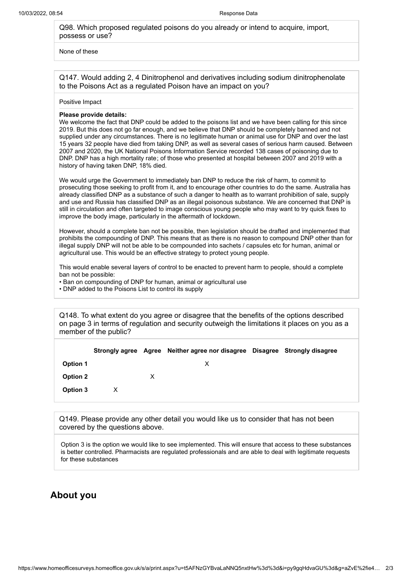Q98. Which proposed regulated poisons do you already or intend to acquire, import, possess or use?

None of these

Q147. Would adding 2, 4 Dinitrophenol and derivatives including sodium dinitrophenolate to the Poisons Act as a regulated Poison have an impact on you?

Positive Impact

## **Please provide details:**

We welcome the fact that DNP could be added to the poisons list and we have been calling for this since 2019. But this does not go far enough, and we believe that DNP should be completely banned and not supplied under any circumstances. There is no legitimate human or animal use for DNP and over the last 15 years 32 people have died from taking DNP, as well as several cases of serious harm caused. Between 2007 and 2020, the UK National Poisons Information Service recorded 138 cases of poisoning due to DNP. DNP has a high mortality rate ; of those who presented at hospital between 2007 and 2019 with a history of having taken DNP, 18% died.

We would urge the Government to immediately ban DNP to reduce the risk of harm, to commit to prosecuting those seeking to profit from it, and to encourage other countries to do the same. Australia has already classified DNP as a substance of such a danger to health as to warrant prohibition of sale, supply and use and Russia has classified DNP as an illegal poisonous substance. We are concerned that DNP is still in circulation and often targeted to image conscious young people who may want to try quick fixes to improve the body image, particularly in the aftermath of lockdown.

However, should a complete ban not be possible, then legislation should be drafted and implemented that prohibits the compounding of DNP. This means that as there is no reason to compound DNP other than for illegal supply DNP will not be able to be compounded into sachets / capsules etc for human, animal or agricultural use. This would be an effective strategy to protect young people.

This would enable several layers of control to be enacted to prevent harm to people, should a complete ban not be possible:

- Ban on compounding of DNP for human, animal or agricultural use
- DNP added to the Poisons List to control its supply

Q148. To what extent do you agree or disagree that the benefits of the options described on page 3 in terms of regulation and security outweigh the limitations it places on you as a member of the public?

|                 |   | Strongly agree Agree Neither agree nor disagree Disagree Strongly disagree |  |
|-----------------|---|----------------------------------------------------------------------------|--|
| <b>Option 1</b> |   | х                                                                          |  |
| <b>Option 2</b> | х |                                                                            |  |
| Option 3        |   |                                                                            |  |

Q149. Please provide any other detail you would like us to consider that has not been covered by the questions above.

Option 3 is the option we would like to see implemented. This will ensure that access to these substances is better controlled. Pharmacists are regulated professionals and are able to deal with legitimate requests for these substances

## **About you**